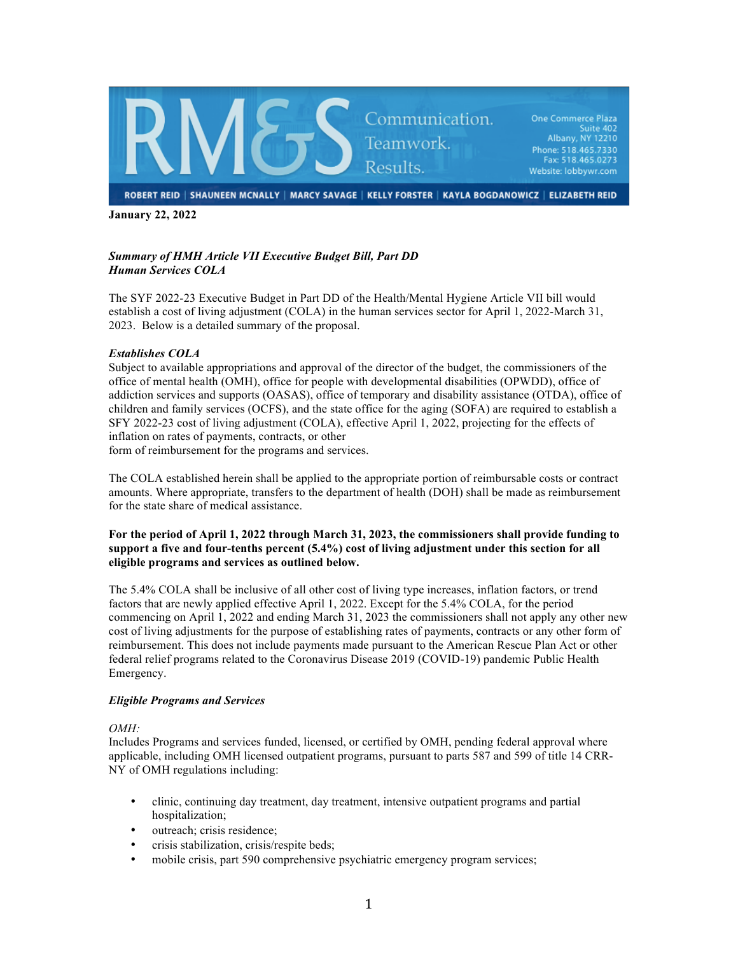

**January 22, 2022**

# *Summary of HMH Article VII Executive Budget Bill, Part DD Human Services COLA*

The SYF 2022-23 Executive Budget in Part DD of the Health/Mental Hygiene Article VII bill would establish a cost of living adjustment (COLA) in the human services sector for April 1, 2022-March 31, 2023. Below is a detailed summary of the proposal.

# *Establishes COLA*

Subject to available appropriations and approval of the director of the budget, the commissioners of the office of mental health (OMH), office for people with developmental disabilities (OPWDD), office of addiction services and supports (OASAS), office of temporary and disability assistance (OTDA), office of children and family services (OCFS), and the state office for the aging (SOFA) are required to establish a SFY 2022-23 cost of living adjustment (COLA), effective April 1, 2022, projecting for the effects of inflation on rates of payments, contracts, or other form of reimbursement for the programs and services.

The COLA established herein shall be applied to the appropriate portion of reimbursable costs or contract amounts. Where appropriate, transfers to the department of health (DOH) shall be made as reimbursement for the state share of medical assistance.

## **For the period of April 1, 2022 through March 31, 2023, the commissioners shall provide funding to support a five and four-tenths percent (5.4%) cost of living adjustment under this section for all eligible programs and services as outlined below.**

The 5.4% COLA shall be inclusive of all other cost of living type increases, inflation factors, or trend factors that are newly applied effective April 1, 2022. Except for the 5.4% COLA, for the period commencing on April 1, 2022 and ending March 31, 2023 the commissioners shall not apply any other new cost of living adjustments for the purpose of establishing rates of payments, contracts or any other form of reimbursement. This does not include payments made pursuant to the American Rescue Plan Act or other federal relief programs related to the Coronavirus Disease 2019 (COVID-19) pandemic Public Health Emergency.

## *Eligible Programs and Services*

## *OMH:*

Includes Programs and services funded, licensed, or certified by OMH, pending federal approval where applicable, including OMH licensed outpatient programs, pursuant to parts 587 and 599 of title 14 CRR-NY of OMH regulations including:

- clinic, continuing day treatment, day treatment, intensive outpatient programs and partial hospitalization;
- outreach; crisis residence;
- crisis stabilization, crisis/respite beds;
- mobile crisis, part 590 comprehensive psychiatric emergency program services;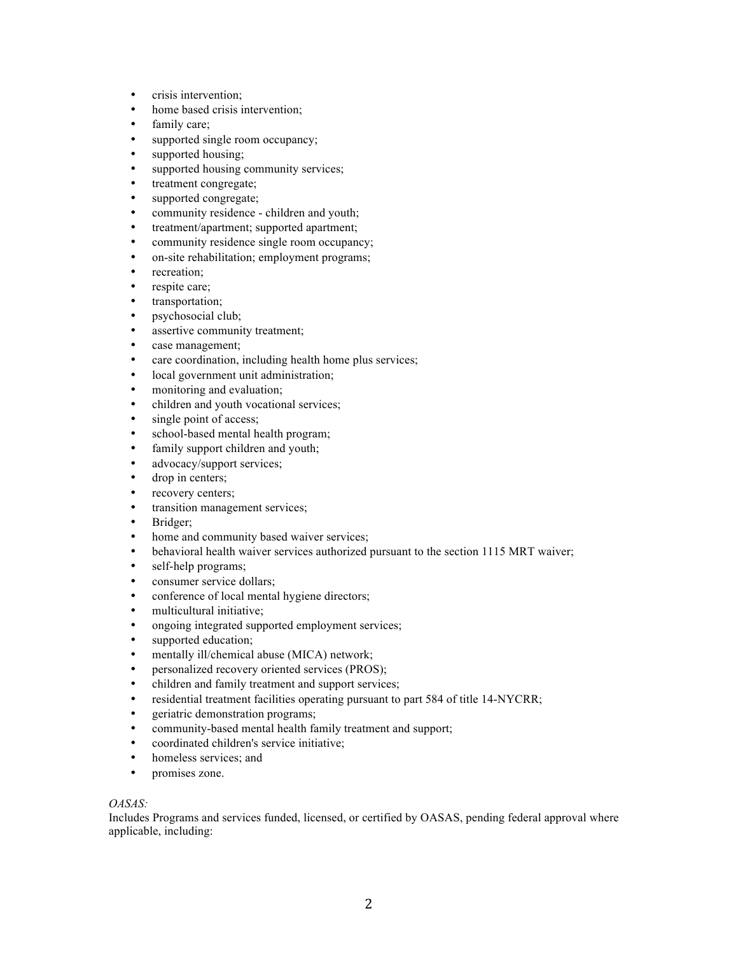- crisis intervention;
- home based crisis intervention;
- family care;<br>• supported sit
- supported single room occupancy;
- supported housing;
- supported housing community services;
- treatment congregate;
- supported congregate;
- community residence children and youth;
- treatment/apartment; supported apartment;
- community residence single room occupancy;
- on-site rehabilitation; employment programs;
- recreation;
- respite care;
- transportation;
- psychosocial club;
- assertive community treatment;
- case management;
- care coordination, including health home plus services;
- local government unit administration;
- monitoring and evaluation;
- children and youth vocational services;
- single point of access;
- school-based mental health program;
- family support children and youth;
- advocacy/support services;
- drop in centers;
- recovery centers;
- transition management services;
- Bridger;
- home and community based waiver services;<br>• he havioral health waiver services authorized
- behavioral health waiver services authorized pursuant to the section 1115 MRT waiver;
- self-help programs;
- consumer service dollars;
- conference of local mental hygiene directors;
- multicultural initiative;
- ongoing integrated supported employment services;
- supported education;
- mentally ill/chemical abuse (MICA) network;
- personalized recovery oriented services (PROS);
- children and family treatment and support services;
- residential treatment facilities operating pursuant to part 584 of title 14-NYCRR;
- geriatric demonstration programs;
- community-based mental health family treatment and support;
- coordinated children's service initiative;
- homeless services; and
- promises zone.

#### *OASAS:*

Includes Programs and services funded, licensed, or certified by OASAS, pending federal approval where applicable, including: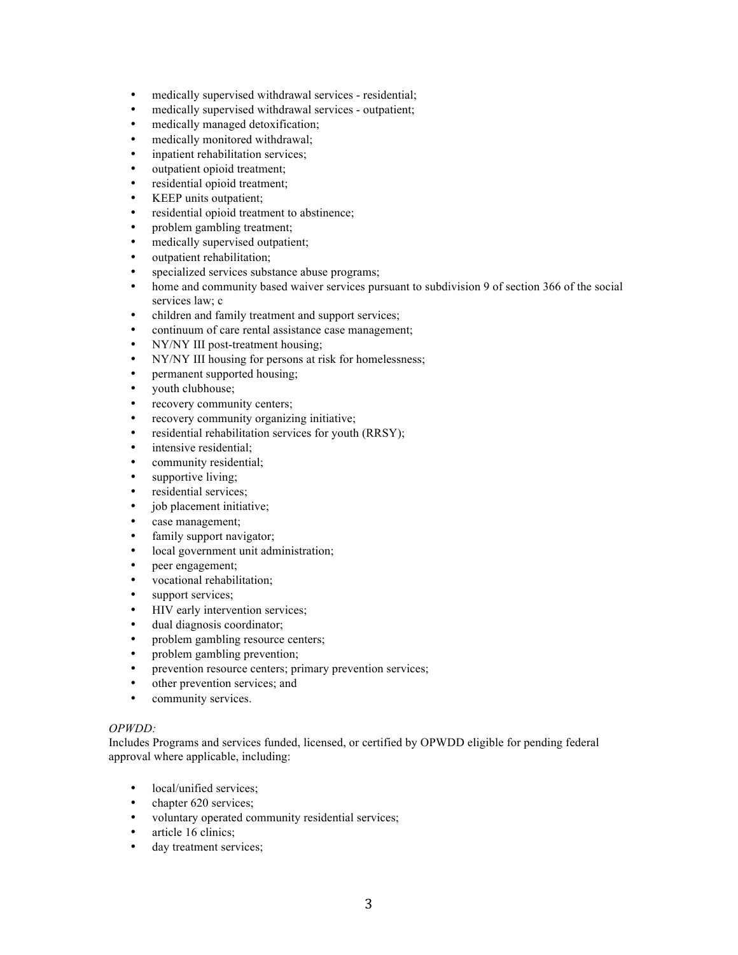- medically supervised withdrawal services residential;
- medically supervised withdrawal services outpatient;
- medically managed detoxification;<br>• medically monitored withdrawal:
- medically monitored withdrawal;
- inpatient rehabilitation services;
- outpatient opioid treatment:
- residential opioid treatment;
- KEEP units outpatient;
- residential opioid treatment to abstinence;
- problem gambling treatment;
- medically supervised outpatient;
- outpatient rehabilitation;
- specialized services substance abuse programs;
- home and community based waiver services pursuant to subdivision 9 of section 366 of the social services law; c
- children and family treatment and support services;
- continuum of care rental assistance case management;
- NY/NY III post-treatment housing;
- NY/NY III housing for persons at risk for homelessness;
- permanent supported housing;
- youth clubhouse;
- recovery community centers;
- recovery community organizing initiative;
- residential rehabilitation services for youth (RRSY);
- intensive residential;
- community residential;
- supportive living;
- residential services;
- job placement initiative;
- case management;
- family support navigator;<br>• local government unit adm
- local government unit administration;
- peer engagement;
- vocational rehabilitation;
- support services;
- HIV early intervention services;
- dual diagnosis coordinator;
- problem gambling resource centers;
- problem gambling prevention;
- prevention resource centers; primary prevention services;
- other prevention services; and
- community services.

#### *OPWDD:*

Includes Programs and services funded, licensed, or certified by OPWDD eligible for pending federal approval where applicable, including:

- local/unified services;
- chapter 620 services;
- voluntary operated community residential services;
- article 16 clinics;
- day treatment services;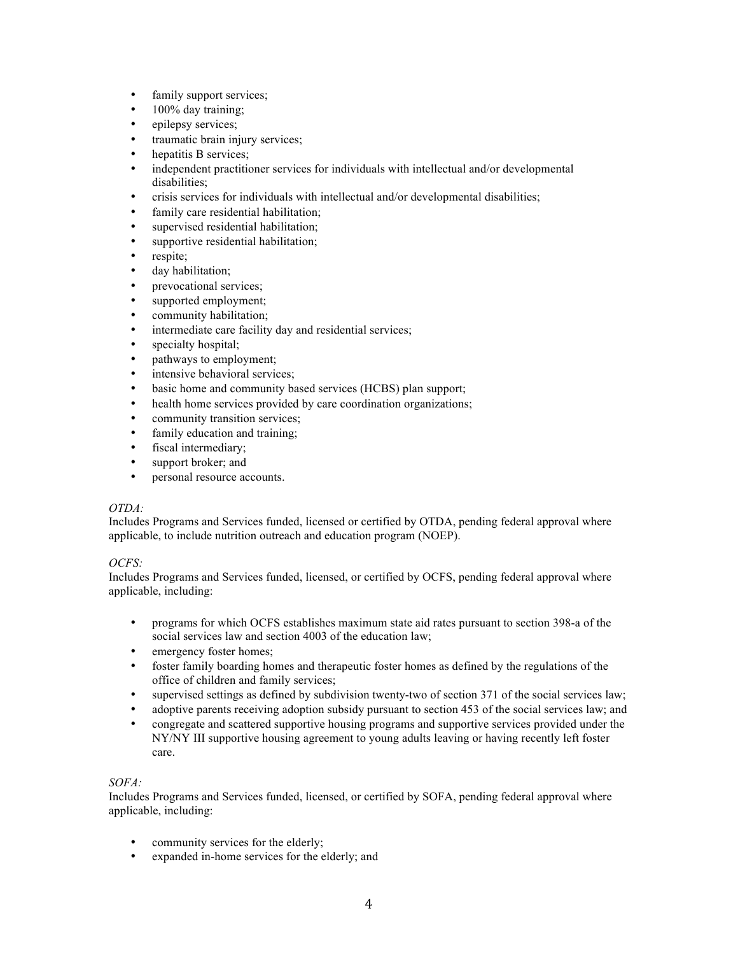- family support services;
- 100% day training;
- epilepsy services;
- traumatic brain injury services;
- hepatitis B services;
- independent practitioner services for individuals with intellectual and/or developmental disabilities;
- crisis services for individuals with intellectual and/or developmental disabilities;
- family care residential habilitation;
- supervised residential habilitation;
- supportive residential habilitation;
- respite;
- day habilitation;
- prevocational services;
- supported employment;
- community habilitation:
- intermediate care facility day and residential services;
- specialty hospital;
- pathways to employment;
- intensive behavioral services;
- basic home and community based services (HCBS) plan support;
- health home services provided by care coordination organizations;
- community transition services;
- family education and training;
- fiscal intermediary;
- support broker; and<br>• personal resource as
- personal resource accounts.

## *OTDA:*

Includes Programs and Services funded, licensed or certified by OTDA, pending federal approval where applicable, to include nutrition outreach and education program (NOEP).

## *OCFS:*

Includes Programs and Services funded, licensed, or certified by OCFS, pending federal approval where applicable, including:

- programs for which OCFS establishes maximum state aid rates pursuant to section 398-a of the social services law and section 4003 of the education law;
- emergency foster homes;
- foster family boarding homes and therapeutic foster homes as defined by the regulations of the office of children and family services;
- supervised settings as defined by subdivision twenty-two of section 371 of the social services law;
- adoptive parents receiving adoption subsidy pursuant to section 453 of the social services law; and
- congregate and scattered supportive housing programs and supportive services provided under the NY/NY III supportive housing agreement to young adults leaving or having recently left foster care.

## *SOFA:*

Includes Programs and Services funded, licensed, or certified by SOFA, pending federal approval where applicable, including:

- community services for the elderly;
- expanded in-home services for the elderly; and